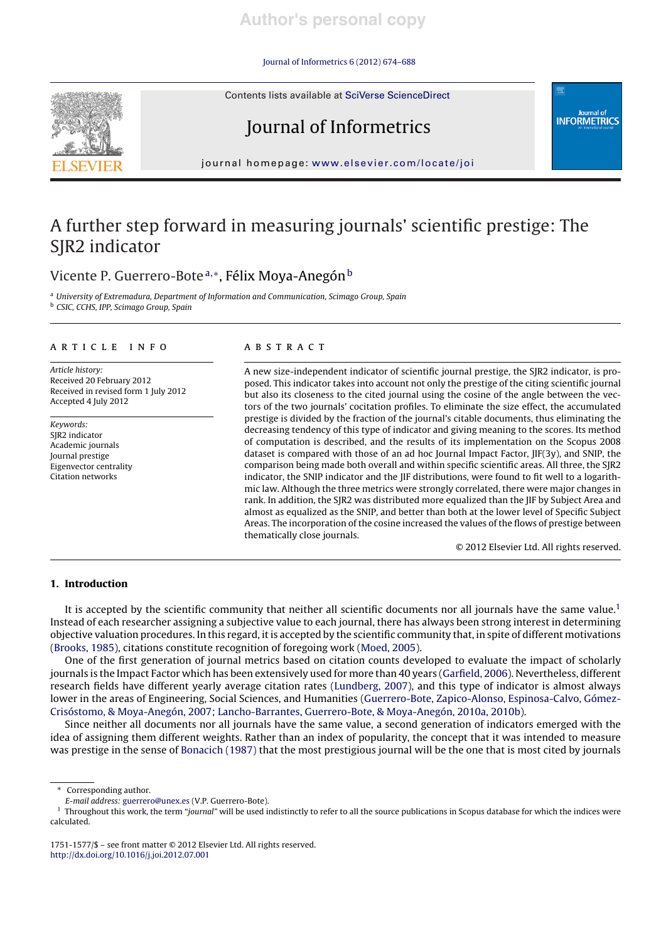Journal of Informetrics 6 (2012) 674–688

Contents lists available at SciVerse ScienceDirect



jou rnal homepage: www.elsevier.com/locate/joi

# A further step forward in measuring journals' scientific prestige: The SJR2 indicator

# Vicente P. Guerrero-Bote<sup>a,∗</sup>, Félix Moya-Anegón<sup>b</sup>

a University of Extremadura, Department of Information and Communication, Scimago Group, Spain <sup>b</sup> CSIC, CCHS, IPP, Scimago Group, Spain

# a r t i c l e i n f o

Article history: Received 20 February 2012 Received in revised form 1 July 2012 Accepted 4 July 2012

Keywords: SJR2 indicator Academic journals Journal prestige Eigenvector centrality Citation networks

# a b s t r a c t

A new size-independent indicator of scientific journal prestige, the SJR2 indicator, is proposed. This indicator takes into account not only the prestige of the citing scientific journal but also its closeness to the cited journal using the cosine of the angle between the vectors of the two journals' cocitation profiles. To eliminate the size effect, the accumulated prestige is divided by the fraction of the journal's citable documents, thus eliminating the decreasing tendency of this type of indicator and giving meaning to the scores. Its method of computation is described, and the results of its implementation on the Scopus 2008 dataset is compared with those of an ad hoc Journal Impact Factor, JIF(3y), and SNIP, the comparison being made both overall and within specific scientific areas. All three, the SJR2 indicator, the SNIP indicator and the JIF distributions, were found to fit well to a logarithmic law. Although the three metrics were strongly correlated, there were major changes in rank. In addition, the SJR2 was distributed more equalized than the JIF by Subject Area and almost as equalized as the SNIP, and better than both at the lower level of Specific Subject Areas. The incorporation of the cosine increased the values of the flows of prestige between thematically close journals.

© 2012 Elsevier Ltd. All rights reserved.

Journal of<br>INFORMETRICS

# 1. Introduction

It is accepted by the scientific community that neither all scientific documents nor all journals have the same value.<sup>1</sup> Instead of each researcher assigning a subjective value to each journal, there has always been strong interest in determining objective valuation procedures. In this regard, itis accepted by the scientific community that, in spite of different motivations (Brooks, 1985), citations constitute recognition of foregoing work (Moed, 2005).

One of the first generation of journal metrics based on citation counts developed to evaluate the impact of scholarly journals is the Impact Factor which has been extensively used for more than 40 years (Garfield, 2006). Nevertheless, different research fields have different yearly average citation rates (Lundberg, 2007), and this type of indicator is almost always lower in the areas of Engineering, Social Sciences, and Humanities (Guerrero-Bote, Zapico-Alonso, Espinosa-Calvo, Gómez-Crisóstomo, & Moya-Anegón, 2007; Lancho-Barrantes, Guerrero-Bote, & Moya-Anegón, 2010a, 2010b).

Since neither all documents nor all journals have the same value, a second generation of indicators emerged with the idea of assigning them different weights. Rather than an index of popularity, the concept that it was intended to measure was prestige in the sense of Bonacich (1987) that the most prestigious journal will be the one that is most cited by journals

Corresponding author.

E-mail address: guerrero@unex.es (V.P. Guerrero-Bote).

Throughout this work, the term "journal" will be used indistinctly to refer to all the source publications in Scopus database for which the indices were calculated.

<sup>1751-1577/\$</sup> – see front matter © 2012 Elsevier Ltd. All rights reserved. http://dx.doi.org/10.1016/j.joi.2012.07.001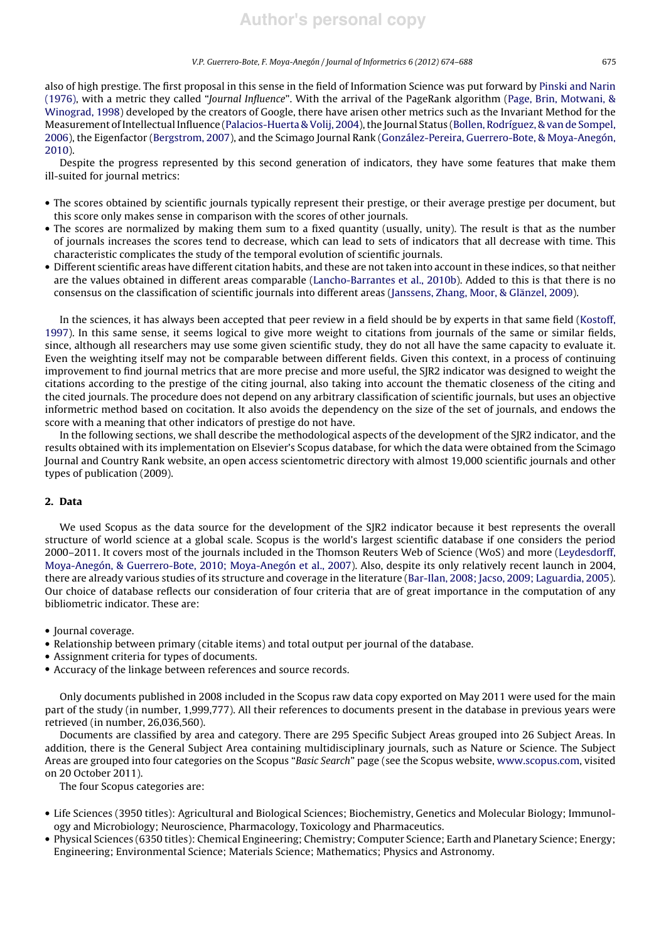also of high prestige. The first proposal in this sense in the field of Information Science was put forward by Pinski and Narin (1976), with a metric they called "Journal Influence". With the arrival of the PageRank algorithm (Page, Brin, Motwani, & Winograd, 1998) developed by the creators of Google, there have arisen other metrics such as the Invariant Method for the Measurement of Intellectual Influence (Palacios-Huerta & Volij, 2004), the Journal Status (Bollen, Rodríguez, & van de Sompel, 2006), the Eigenfactor (Bergstrom, 2007), and the Scimago Journal Rank (González-Pereira, Guerrero-Bote, & Moya-Anegón, 2010).

Despite the progress represented by this second generation of indicators, they have some features that make them ill-suited for journal metrics:

- The scores obtained by scientific journals typically represent their prestige, or their average prestige per document, but this score only makes sense in comparison with the scores of other journals.
- The scores are normalized by making them sum to a fixed quantity (usually, unity). The result is that as the number of journals increases the scores tend to decrease, which can lead to sets of indicators that all decrease with time. This characteristic complicates the study of the temporal evolution of scientific journals.
- Different scientific areas have different citation habits, and these are not taken into account in these indices, so that neither are the values obtained in different areas comparable (Lancho-Barrantes et al., 2010b). Added to this is that there is no consensus on the classification of scientific journals into different areas (Janssens, Zhang, Moor, & Glänzel, 2009).

In the sciences, it has always been accepted that peer review in a field should be by experts in that same field (Kostoff, 1997). In this same sense, it seems logical to give more weight to citations from journals of the same or similar fields, since, although all researchers may use some given scientific study, they do not all have the same capacity to evaluate it. Even the weighting itself may not be comparable between different fields. Given this context, in a process of continuing improvement to find journal metrics that are more precise and more useful, the SJR2 indicator was designed to weight the citations according to the prestige of the citing journal, also taking into account the thematic closeness of the citing and the cited journals. The procedure does not depend on any arbitrary classification of scientific journals, but uses an objective informetric method based on cocitation. It also avoids the dependency on the size of the set of journals, and endows the score with a meaning that other indicators of prestige do not have.

In the following sections, we shall describe the methodological aspects of the development of the SJR2 indicator, and the results obtained with its implementation on Elsevier's Scopus database, for which the data were obtained from the Scimago Journal and Country Rank website, an open access scientometric directory with almost 19,000 scientific journals and other types of publication (2009).

# 2. Data

We used Scopus as the data source for the development of the SJR2 indicator because it best represents the overall structure of world science at a global scale. Scopus is the world's largest scientific database if one considers the period 2000–2011. It covers most of the journals included in the Thomson Reuters Web of Science (WoS) and more (Leydesdorff, Moya-Anegón, & Guerrero-Bote, 2010; Moya-Anegón et al., 2007). Also, despite its only relatively recent launch in 2004, there are already various studies of its structure and coverage in the literature (Bar-Ilan, 2008; Jacso, 2009; Laguardia, 2005). Our choice of database reflects our consideration of four criteria that are of great importance in the computation of any bibliometric indicator. These are:

- Journal coverage.
- Relationship between primary (citable items) and total output per journal of the database.
- Assignment criteria for types of documents.
- Accuracy of the linkage between references and source records.

Only documents published in 2008 included in the Scopus raw data copy exported on May 2011 were used for the main part of the study (in number, 1,999,777). All their references to documents present in the database in previous years were retrieved (in number, 26,036,560).

Documents are classified by area and category. There are 295 Specific Subject Areas grouped into 26 Subject Areas. In addition, there is the General Subject Area containing multidisciplinary journals, such as Nature or Science. The Subject Areas are grouped into four categories on the Scopus "Basic Search" page (see the Scopus website, www.scopus.com, visited on 20 October 2011).

The four Scopus categories are:

- Life Sciences (3950 titles): Agricultural and Biological Sciences; Biochemistry, Genetics and Molecular Biology; Immunology and Microbiology; Neuroscience, Pharmacology, Toxicology and Pharmaceutics.
- Physical Sciences (6350 titles): Chemical Engineering; Chemistry; Computer Science; Earth and Planetary Science; Energy; Engineering; Environmental Science; Materials Science; Mathematics; Physics and Astronomy.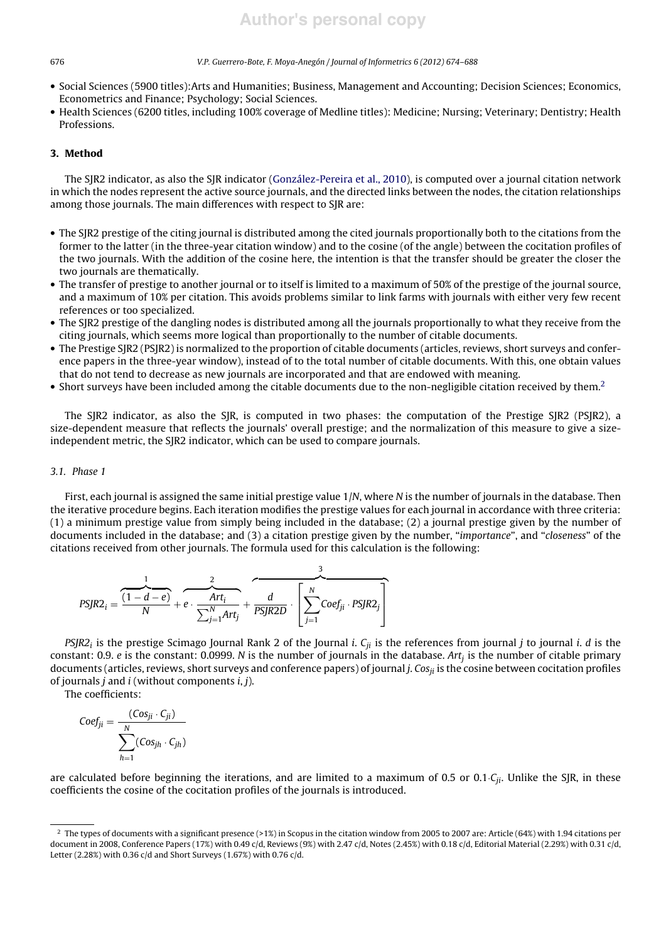#### 676 V.P. Guerrero-Bote, F. Moya-Anegón / Journal of Informetrics *6 (2012) 674–688*

- Social Sciences (5900 titles):Arts and Humanities; Business, Management and Accounting; Decision Sciences; Economics, Econometrics and Finance; Psychology; Social Sciences.
- Health Sciences (6200 titles, including 100% coverage of Medline titles): Medicine; Nursing; Veterinary; Dentistry; Health Professions.

# 3. Method

The SJR2 indicator, as also the SJR indicator (González-Pereira et al., 2010), is computed over a journal citation network in which the nodes represent the active source journals, and the directed links between the nodes, the citation relationships among those journals. The main differences with respect to SJR are:

- The SJR2 prestige of the citing journal is distributed among the cited journals proportionally both to the citations from the former to the latter (in the three-year citation window) and to the cosine (of the angle) between the cocitation profiles of the two journals. With the addition of the cosine here, the intention is that the transfer should be greater the closer the two journals are thematically.
- The transfer of prestige to another journal or to itself is limited to a maximum of 50% of the prestige of the journal source, and a maximum of 10% per citation. This avoids problems similar to link farms with journals with either very few recent references or too specialized.
- The SJR2 prestige of the dangling nodes is distributed among all the journals proportionally to what they receive from the citing journals, which seems more logical than proportionally to the number of citable documents.
- The Prestige SJR2 (PSJR2) is normalized to the proportion of citable documents (articles, reviews, short surveys and conference papers in the three-year window), instead of to the total number of citable documents. With this, one obtain values that do not tend to decrease as new journals are incorporated and that are endowed with meaning.
- Short surveys have been included among the citable documents due to the non-negligible citation received by them.<sup>2</sup>

The SJR2 indicator, as also the SJR, is computed in two phases: the computation of the Prestige SJR2 (PSJR2), a size-dependent measure that reflects the journals' overall prestige; and the normalization of this measure to give a sizeindependent metric, the SJR2 indicator, which can be used to compare journals.

# 3.1. Phase 1

First, each journal is assigned the same initial prestige value 1/N, where N is the number of journals in the database. Then the iterative procedure begins. Each iteration modifies the prestige values for each journal in accordance with three criteria: (1) a minimum prestige value from simply being included in the database; (2) a journal prestige given by the number of documents included in the database; and (3) a citation prestige given by the number, "importance", and "closeness" of the citations received from other journals. The formula used for this calculation is the following:

$$
PSIR2_i = \frac{1}{\left(1-d-e\right)} + e \cdot \frac{\lambda r t_i}{\sum_{j=1}^{N} Ar t_j} + \frac{d}{PSIR2D} \cdot \left[\sum_{j=1}^{N} Coef_{ji} \cdot PSIR2_j\right]
$$

PSJR2<sub>i</sub> is the prestige Scimago Journal Rank 2 of the Journal *i*.  $C_{ji}$  is the references from journal *j* to journal *i*. *d* is the constant: 0.9. e is the constant: 0.0999. N is the number of journals in the database. Art<sub>i</sub> is the number of citable primary documents (articles, reviews, short surveys and conference papers) of journal *j*. Cos<sub>ii</sub> is the cosine between cocitation profiles of journals  $j$  and  $i$  (without components  $i$ ,  $j$ ).

The coefficients:

$$
Coef_{ji} = \frac{(Cos_{ji} \cdot C_{ji})}{\sum_{h=1}^{N} (Cos_{jh} \cdot C_{jh})}
$$

are calculated before beginning the iterations, and are limited to a maximum of 0.5 or 0.1  $C_{ii}$ . Unlike the SJR, in these coefficients the cosine of the cocitation profiles of the journals is introduced.

<sup>2</sup> The types of documents with a significant presence (>1%) in Scopus in the citation window from 2005 to 2007 are: Article (64%) with 1.94 citations per document in 2008, Conference Papers (17%) with 0.49 c/d, Reviews (9%) with 2.47 c/d, Notes (2.45%) with 0.18 c/d, Editorial Material (2.29%) with 0.31 c/d, Letter (2.28%) with 0.36 c/d and Short Surveys (1.67%) with 0.76 c/d.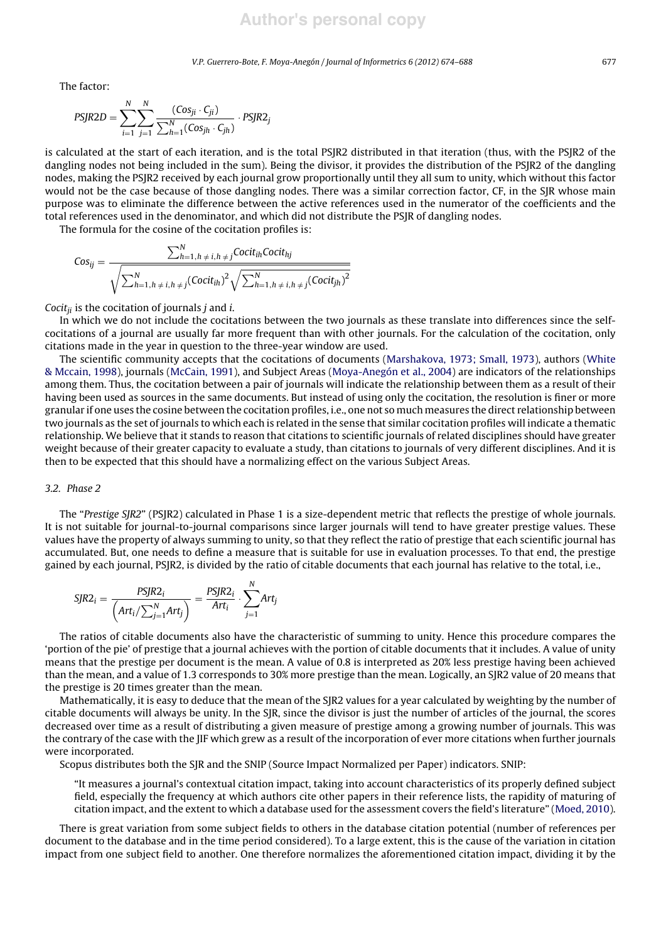The factor:

$$
PSJR2D = \sum_{i=1}^{N} \sum_{j=1}^{N} \frac{(Cos_{ji} \cdot C_{ji})}{\sum_{h=1}^{N} (Cos_{jh} \cdot C_{jh})} \cdot PSJR2j
$$

is calculated at the start of each iteration, and is the total PSJR2 distributed in that iteration (thus, with the PSJR2 of the dangling nodes not being included in the sum). Being the divisor, it provides the distribution of the PSJR2 of the dangling nodes, making the PSJR2 received by each journal grow proportionally until they all sum to unity, which without this factor would not be the case because of those dangling nodes. There was a similar correction factor, CF, in the SJR whose main purpose was to eliminate the difference between the active references used in the numerator of the coefficients and the total references used in the denominator, and which did not distribute the PSJR of dangling nodes.

The formula for the cosine of the cocitation profiles is:

$$
Cos_{ij} = \frac{\sum_{h=1, h \neq i, h \neq j}^{N} Cocit_{ih}Cocit_{hj}}{\sqrt{\sum_{h=1, h \neq i, h \neq j}^{N}(Cocit_{ih})^{2}}\sqrt{\sum_{h=1, h \neq i, h \neq j}^{N}(Cocit_{jh})^{2}}}
$$

Cocit<sub>ii</sub> is the cocitation of journals *j* and *i*.

In which we do not include the cocitations between the two journals as these translate into differences since the selfcocitations of a journal are usually far more frequent than with other journals. For the calculation of the cocitation, only citations made in the year in question to the three-year window are used.

The scientific community accepts that the cocitations of documents (Marshakova, 1973; Small, 1973), authors (White & Mccain, 1998), journals (McCain, 1991), and Subject Areas (Moya-Anegón et al., 2004) are indicators of the relationships among them. Thus, the cocitation between a pair of journals will indicate the relationship between them as a result of their having been used as sources in the same documents. But instead of using only the cocitation, the resolution is finer or more granular if one uses the cosine between the cocitation profiles, i.e., one not so much measures the direct relationship between two journals as the set of journals to which each is related in the sense that similar cocitation profiles will indicate a thematic relationship. We believe that it stands to reason that citations to scientific journals of related disciplines should have greater weight because of their greater capacity to evaluate a study, than citations to journals of very different disciplines. And it is then to be expected that this should have a normalizing effect on the various Subject Areas.

# 3.2. Phase 2

The "Prestige SJR2" (PSJR2) calculated in Phase 1 is a size-dependent metric that reflects the prestige of whole journals. It is not suitable for journal-to-journal comparisons since larger journals will tend to have greater prestige values. These values have the property of always summing to unity, so that they reflect the ratio of prestige that each scientific journal has accumulated. But, one needs to define a measure that is suitable for use in evaluation processes. To that end, the prestige gained by each journal, PSJR2, is divided by the ratio of citable documents that each journal has relative to the total, i.e.,

$$
SJR2_i = \frac{PSJR2_i}{\left(Art_i/\sum_{j=1}^{N}Art_j\right)} = \frac{PSJR2_i}{Art_i} \cdot \sum_{j=1}^{N} Art_j
$$

The ratios of citable documents also have the characteristic of summing to unity. Hence this procedure compares the 'portion of the pie' of prestige that a journal achieves with the portion of citable documents that it includes. A value of unity means that the prestige per document is the mean. A value of 0.8 is interpreted as 20% less prestige having been achieved than the mean, and a value of 1.3 corresponds to 30% more prestige than the mean. Logically, an SJR2 value of 20 means that the prestige is 20 times greater than the mean.

Mathematically, it is easy to deduce that the mean of the SJR2 values for a year calculated by weighting by the number of citable documents will always be unity. In the SJR, since the divisor is just the number of articles of the journal, the scores decreased over time as a result of distributing a given measure of prestige among a growing number of journals. This was the contrary of the case with the JIF which grew as a result of the incorporation of ever more citations when further journals were incorporated.

Scopus distributes both the SJR and the SNIP (Source Impact Normalized per Paper) indicators. SNIP:

"It measures a journal's contextual citation impact, taking into account characteristics of its properly defined subject field, especially the frequency at which authors cite other papers in their reference lists, the rapidity of maturing of citation impact, and the extent to which a database used for the assessment covers the field's literature" (Moed, 2010).

There is great variation from some subject fields to others in the database citation potential (number of references per document to the database and in the time period considered). To a large extent, this is the cause of the variation in citation impact from one subject field to another. One therefore normalizes the aforementioned citation impact, dividing it by the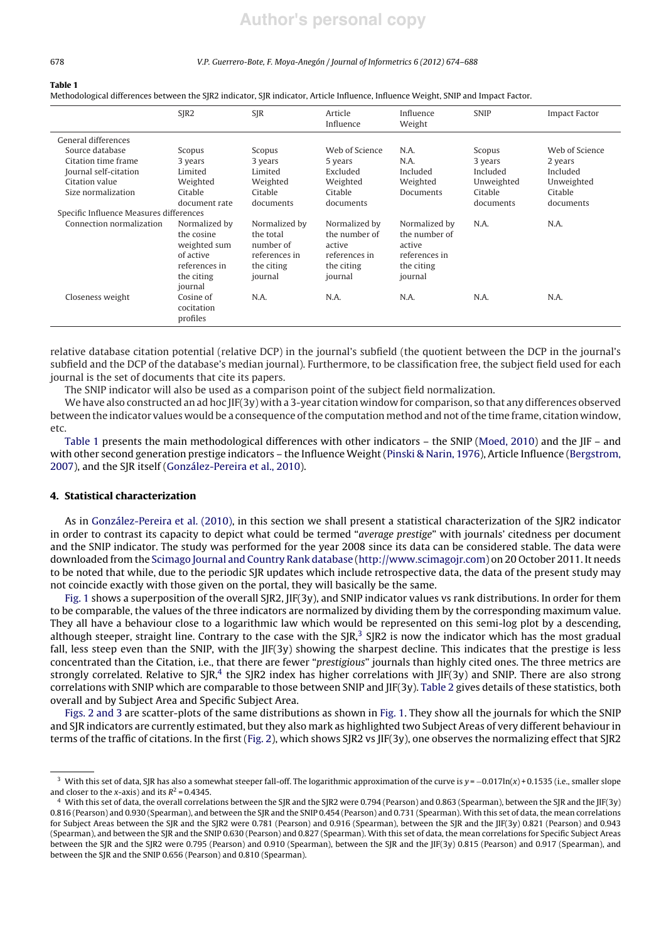### 678 V.P. Guerrero-Bote, F. Moya-Anegón / Journal of Informetrics *6 (2012) 674–688*

## Table 1

Methodological differences between the SJR2 indicator, SJR indicator, Article Influence, Influence Weight, SNIP and Impact Factor.

|                                         | SIR2                                                                                               | <b>SJR</b>                                                                        | Article<br>Influence                                                               | Influence<br>Weight                                                                | <b>SNIP</b> | <b>Impact Factor</b> |
|-----------------------------------------|----------------------------------------------------------------------------------------------------|-----------------------------------------------------------------------------------|------------------------------------------------------------------------------------|------------------------------------------------------------------------------------|-------------|----------------------|
| General differences                     |                                                                                                    |                                                                                   |                                                                                    |                                                                                    |             |                      |
| Source database                         | Scopus                                                                                             | Scopus                                                                            | Web of Science                                                                     | N.A.                                                                               | Scopus      | Web of Science       |
| Citation time frame                     | 3 years                                                                                            | 3 years                                                                           | 5 years                                                                            | N.A.                                                                               | 3 years     | 2 years              |
| Journal self-citation                   | Limited                                                                                            | Limited                                                                           | Excluded                                                                           | Included                                                                           | Included    | Included             |
| Citation value                          | Weighted                                                                                           | Weighted                                                                          | Weighted                                                                           | Weighted                                                                           | Unweighted  | Unweighted           |
| Size normalization                      | Citable                                                                                            | Citable                                                                           | Citable                                                                            | Documents                                                                          | Citable     | Citable              |
|                                         | document rate                                                                                      | documents                                                                         | documents                                                                          |                                                                                    | documents   | documents            |
| Specific Influence Measures differences |                                                                                                    |                                                                                   |                                                                                    |                                                                                    |             |                      |
| Connection normalization                | Normalized by<br>the cosine<br>weighted sum<br>of active<br>references in<br>the citing<br>journal | Normalized by<br>the total<br>number of<br>references in<br>the citing<br>journal | Normalized by<br>the number of<br>active<br>references in<br>the citing<br>journal | Normalized by<br>the number of<br>active<br>references in<br>the citing<br>journal | N.A.        | N.A.                 |
| Closeness weight                        | Cosine of<br>cocitation<br>profiles                                                                | N.A.                                                                              | N.A.                                                                               | N.A.                                                                               | N.A.        | N.A.                 |

relative database citation potential (relative DCP) in the journal's subfield (the quotient between the DCP in the journal's subfield and the DCP of the database's median journal). Furthermore, to be classification free, the subject field used for each journal is the set of documents that cite its papers.

The SNIP indicator will also be used as a comparison point of the subject field normalization.

We have also constructed an ad hoc JIF(3y) with a 3-year citation window for comparison, so that any differences observed between the indicator values would be a consequence ofthe computation method and not ofthe time frame, citation window, etc.

Table 1 presents the main methodological differences with other indicators – the SNIP (Moed, 2010) and the JIF – and with other second generation prestige indicators – the Influence Weight (Pinski & Narin, 1976), Article Influence (Bergstrom, 2007), and the SJR itself (González-Pereira et al., 2010).

# 4. Statistical characterization

As in González-Pereira et al. (2010), in this section we shall present a statistical characterization of the SJR2 indicator in order to contrast its capacity to depict what could be termed "average prestige" with journals' citedness per document and the SNIP indicator. The study was performed for the year 2008 since its data can be considered stable. The data were downloaded from the Scimago Journal and Country Rank database (http://www.scimagojr.com) on 20 October 2011. It needs to be noted that while, due to the periodic SJR updates which include retrospective data, the data of the present study may not coincide exactly with those given on the portal, they will basically be the same.

Fig. 1 shows a superposition of the overall SJR2, JIF(3y), and SNIP indicator values vs rank distributions. In order for them to be comparable, the values of the three indicators are normalized by dividing them by the corresponding maximum value. They all have a behaviour close to a logarithmic law which would be represented on this semi-log plot by a descending, although steeper, straight line. Contrary to the case with the  $\text{SIR}^3$  SJR2 is now the indicator which has the most gradual fall, less steep even than the SNIP, with the  $IIF(3y)$  showing the sharpest decline. This indicates that the prestige is less concentrated than the Citation, i.e., that there are fewer "prestigious" journals than highly cited ones. The three metrics are strongly correlated. Relative to  $S$ JR,<sup>4</sup> the SJR2 index has higher correlations with JIF(3y) and SNIP. There are also strong correlations with SNIP which are comparable to those between SNIP and JIF(3y). Table 2 gives details of these statistics, both overall and by Subject Area and Specific Subject Area.

Figs. 2 and 3 are scatter-plots of the same distributions as shown in Fig. 1. They show all the journals for which the SNIP and SJR indicators are currently estimated, but they also mark as highlighted two Subject Areas of very different behaviour in terms of the traffic of citations. In the first (Fig. 2), which shows SJR2 vs JIF(3y), one observes the normalizing effect that SJR2

<sup>&</sup>lt;sup>3</sup> With this set of data, SJR has also a somewhat steeper fall-off. The logarithmic approximation of the curve is y =  $-0.017\ln(x) + 0.1535$  (i.e., smaller slope and closer to the x-axis) and its  $R^2$  = 0.4345.

 $^4$  With this set of data, the overall correlations between the SJR and the SJR2 were 0.794 (Pearson) and 0.863 (Spearman), between the SJR and the JIF(3y) 0.816 (Pearson) and 0.930 (Spearman), and between the SJR and the SNIP 0.454 (Pearson) and 0.731 (Spearman). With this set of data, the mean correlations for Subject Areas between the SJR and the SJR2 were 0.781 (Pearson) and 0.916 (Spearman), between the SJR and the JIF(3y) 0.821 (Pearson) and 0.943 (Spearman), and between the SJR and the SNIP 0.630 (Pearson) and 0.827 (Spearman). With this set of data, the mean correlations for Specific Subject Areas between the SJR and the SJR2 were 0.795 (Pearson) and 0.910 (Spearman), between the SJR and the JIF(3y) 0.815 (Pearson) and 0.917 (Spearman), and between the SJR and the SNIP 0.656 (Pearson) and 0.810 (Spearman).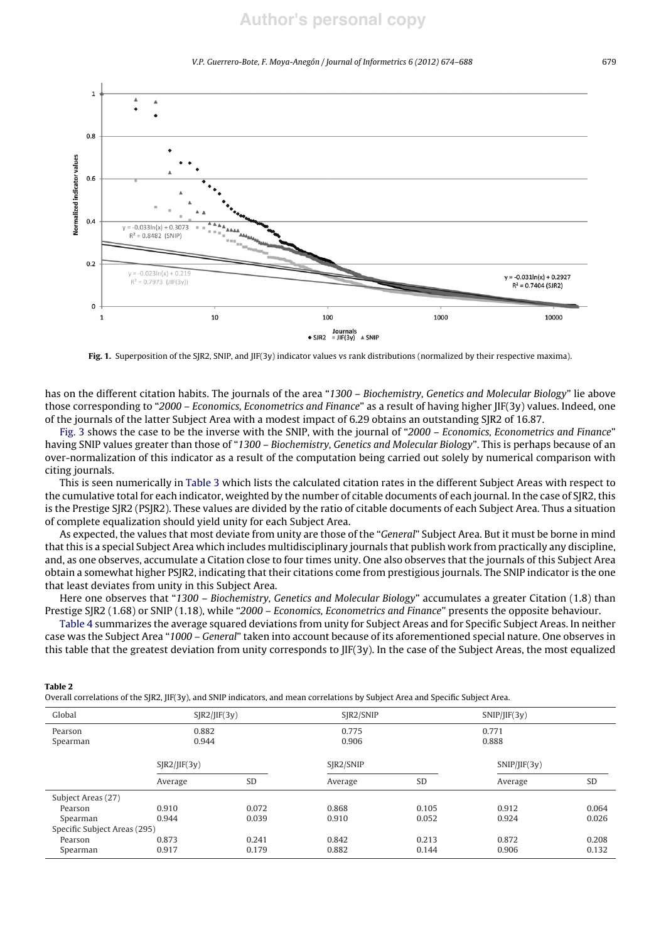### V.P. Guerrero-Bote, F. Moya-Anegón / Journal of Informetrics *6 (2012) 674–688* 679



Fig. 1. Superposition of the SJR2, SNIP, and JIF(3y) indicator values vs rank distributions (normalized by their respective maxima).

has on the different citation habits. The journals of the area "1300 – Biochemistry, Genetics and Molecular Biology" lie above those corresponding to "2000 – Economics, Econometrics and Finance" as a result of having higher JIF(3y) values. Indeed, one of the journals of the latter Subject Area with a modest impact of 6.29 obtains an outstanding SJR2 of 16.87.

Fig. 3 shows the case to be the inverse with the SNIP, with the journal of "2000 – Economics, Econometrics and Finance" having SNIP values greater than those of "1300 – Biochemistry, Genetics and Molecular Biology". This is perhaps because of an over-normalization of this indicator as a result of the computation being carried out solely by numerical comparison with citing journals.

This is seen numerically in Table 3 which lists the calculated citation rates in the different Subject Areas with respect to the cumulative total for each indicator, weighted by the number of citable documents of each journal. In the case of SJR2, this is the Prestige SJR2 (PSJR2). These values are divided by the ratio of citable documents of each Subject Area. Thus a situation of complete equalization should yield unity for each Subject Area.

As expected, the values that most deviate from unity are those of the "General" Subject Area. But it must be borne in mind that this is a special Subject Area which includes multidisciplinary journals that publish work from practically any discipline, and, as one observes, accumulate a Citation close to four times unity. One also observes that the journals of this Subject Area obtain a somewhat higher PSJR2, indicating that their citations come from prestigious journals. The SNIP indicator is the one that least deviates from unity in this Subject Area.

Here one observes that "1300 – Biochemistry, Genetics and Molecular Biology" accumulates a greater Citation (1.8) than Prestige SJR2 (1.68) or SNIP (1.18), while "2000 – Economics, Econometrics and Finance" presents the opposite behaviour.

Table 4 summarizes the average squared deviations from unity for Subject Areas and for Specific Subject Areas. In neither case was the Subject Area "1000 – General" taken into account because of its aforementioned special nature. One observes in this table that the greatest deviation from unity corresponds to JIF(3y). In the case of the Subject Areas, the most equalized

#### Table 2

Overall correlations of the SJR2, JIF(3y), and SNIP indicators, and mean correlations by Subject Area and Specific Subject Area.

| Global                       | SIR2/JIF(3y)                         |       | SJR2/SNIP |       | SNIP/IF(3y) |           |  |  |
|------------------------------|--------------------------------------|-------|-----------|-------|-------------|-----------|--|--|
| Pearson                      | 0.882                                |       | 0.775     |       | 0.771       |           |  |  |
| Spearman                     | 0.944                                |       | 0.906     |       | 0.888       |           |  |  |
|                              | SIR2/JIF(3y)<br><b>SD</b><br>Average |       | SJR2/SNIP |       | SNIP/IF(3y) |           |  |  |
|                              |                                      |       | Average   | SD    | Average     | <b>SD</b> |  |  |
| Subject Areas (27)           |                                      |       |           |       |             |           |  |  |
| Pearson                      | 0.910                                | 0.072 | 0.868     | 0.105 | 0.912       | 0.064     |  |  |
| Spearman                     | 0.944                                | 0.039 | 0.910     | 0.052 | 0.924       | 0.026     |  |  |
| Specific Subject Areas (295) |                                      |       |           |       |             |           |  |  |
| Pearson                      | 0.873                                | 0.241 | 0.842     | 0.213 | 0.872       | 0.208     |  |  |
| Spearman                     | 0.917                                | 0.179 | 0.882     | 0.144 | 0.906       | 0.132     |  |  |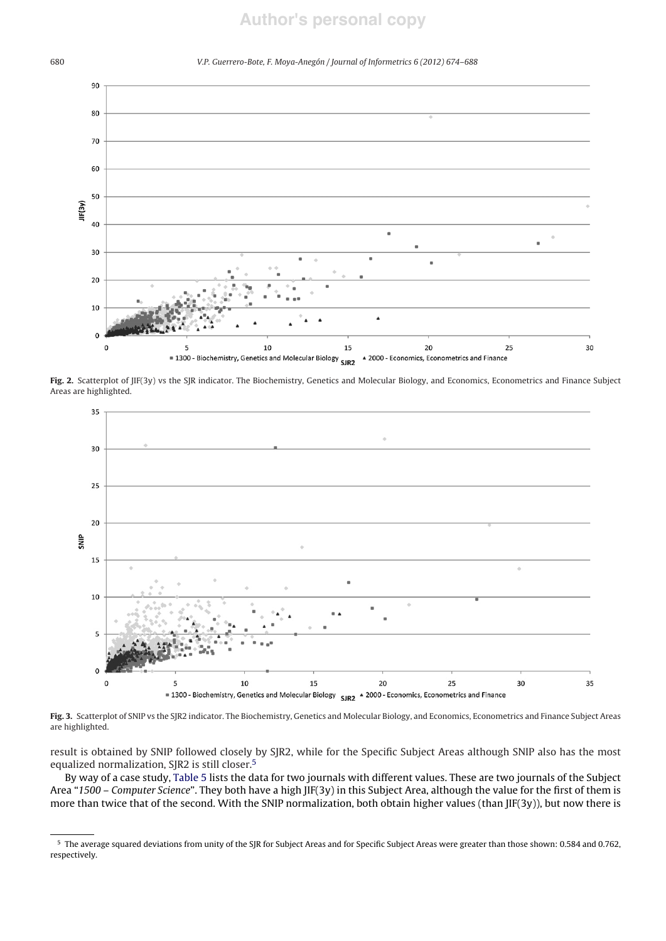

Fig. 2. Scatterplot of JIF(3y) vs the SJR indicator. The Biochemistry, Genetics and Molecular Biology, and Economics, Econometrics and Finance Subject Areas are highlighted.



Fig. 3. Scatterplot of SNIP vs the SJR2 indicator. The Biochemistry, Genetics and Molecular Biology, and Economics, Econometrics and Finance Subject Areas are highlighted.

result is obtained by SNIP followed closely by SJR2, while for the Specific Subject Areas although SNIP also has the most equalized normalization, SJR2 is still closer.5

By way of a case study, Table 5 lists the data for two journals with different values. These are two journals of the Subject Area "1500 – Computer Science". They both have a high  $IIF(3y)$  in this Subject Area, although the value for the first of them is more than twice that of the second. With the SNIP normalization, both obtain higher values (than JIF(3y)), but now there is

<sup>5</sup> The average squared deviations from unity of the SJR for Subject Areas and for Specific Subject Areas were greater than those shown: 0.584 and 0.762, respectively.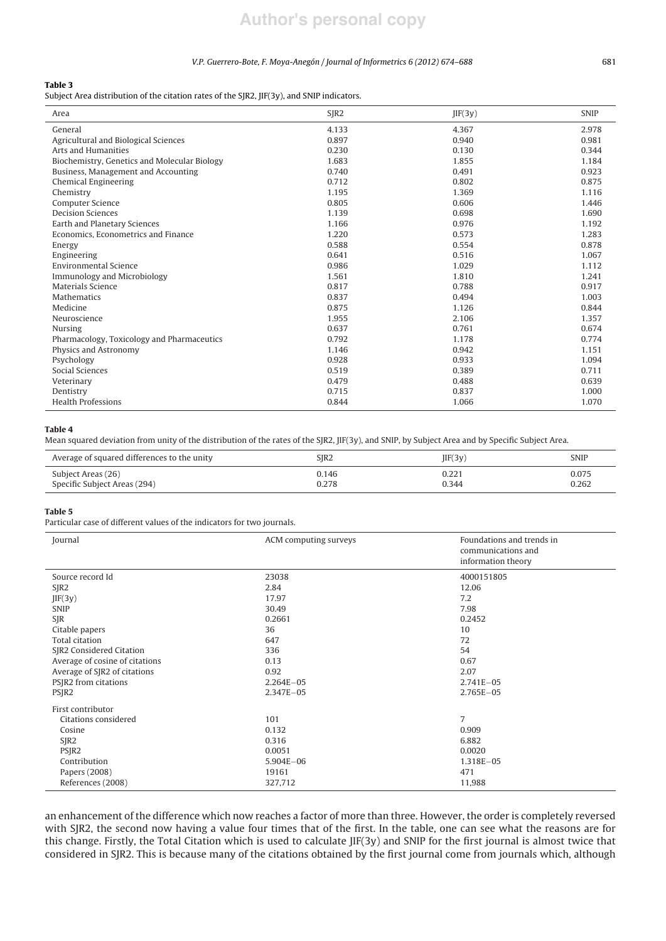## V.P. Guerrero-Bote, F. Moya-Anegón / Journal of Informetrics *6 (2012) 674–688* 681

# Table 3

Subject Area distribution of the citation rates of the SJR2, JIF(3y), and SNIP indicators.

| Area                                         | SJR <sub>2</sub> | JIF(3y) | <b>SNIP</b> |
|----------------------------------------------|------------------|---------|-------------|
| General                                      | 4.133            | 4.367   | 2.978       |
| Agricultural and Biological Sciences         | 0.897            | 0.940   | 0.981       |
| <b>Arts and Humanities</b>                   | 0.230            | 0.130   | 0.344       |
| Biochemistry, Genetics and Molecular Biology | 1.683            | 1.855   | 1.184       |
| Business, Management and Accounting          | 0.740            | 0.491   | 0.923       |
| Chemical Engineering                         | 0.712            | 0.802   | 0.875       |
| Chemistry                                    | 1.195            | 1.369   | 1.116       |
| Computer Science                             | 0.805            | 0.606   | 1.446       |
| <b>Decision Sciences</b>                     | 1.139            | 0.698   | 1.690       |
| Earth and Planetary Sciences                 | 1.166            | 0.976   | 1.192       |
| Economics, Econometrics and Finance          | 1.220            | 0.573   | 1.283       |
| Energy                                       | 0.588            | 0.554   | 0.878       |
| Engineering                                  | 0.641            | 0.516   | 1.067       |
| <b>Environmental Science</b>                 | 0.986            | 1.029   | 1.112       |
| Immunology and Microbiology                  | 1.561            | 1.810   | 1.241       |
| Materials Science                            | 0.817            | 0.788   | 0.917       |
| Mathematics                                  | 0.837            | 0.494   | 1.003       |
| Medicine                                     | 0.875            | 1.126   | 0.844       |
| Neuroscience                                 | 1.955            | 2.106   | 1.357       |
| <b>Nursing</b>                               | 0.637            | 0.761   | 0.674       |
| Pharmacology, Toxicology and Pharmaceutics   | 0.792            | 1.178   | 0.774       |
| Physics and Astronomy                        | 1.146            | 0.942   | 1.151       |
| Psychology                                   | 0.928            | 0.933   | 1.094       |
| Social Sciences                              | 0.519            | 0.389   | 0.711       |
| Veterinary                                   | 0.479            | 0.488   | 0.639       |
| Dentistry                                    | 0.715            | 0.837   | 1.000       |
| <b>Health Professions</b>                    | 0.844            | 1.066   | 1.070       |

### Table 4

Mean squared deviation from unity of the distribution of the rates of the SJR2, JIF(3y), and SNIP, by Subject Area and by Specific Subject Area.

| Average of squared differences to the unity | SIR2  | JIF(3y | <b>SNIP</b> |
|---------------------------------------------|-------|--------|-------------|
| Subject Areas (26)                          | 0.146 | 0.221  | 0.075       |
| Specific Subject Areas (294)                | 0.278 | 0.344  | 0.262       |

# Table 5

Particular case of different values of the indicators for two journals.

| Journal                        | ACM computing surveys | Foundations and trends in<br>communications and<br>information theory |  |  |
|--------------------------------|-----------------------|-----------------------------------------------------------------------|--|--|
| Source record Id               | 23038                 | 4000151805                                                            |  |  |
| SIR2                           | 2.84                  | 12.06                                                                 |  |  |
| JIF(3y)                        | 17.97                 | 7.2                                                                   |  |  |
| <b>SNIP</b>                    | 30.49                 | 7.98                                                                  |  |  |
| SJR                            | 0.2661                | 0.2452                                                                |  |  |
| Citable papers                 | 36                    | 10                                                                    |  |  |
| <b>Total citation</b>          | 647                   | 72                                                                    |  |  |
| SJR2 Considered Citation       | 336                   | 54                                                                    |  |  |
| Average of cosine of citations | 0.13                  | 0.67                                                                  |  |  |
| Average of SJR2 of citations   | 0.92                  | 2.07                                                                  |  |  |
| PSJR2 from citations           | $2.264E - 05$         | $2.741E - 05$                                                         |  |  |
| PSJR <sub>2</sub>              | 2.347E-05             | 2.765E-05                                                             |  |  |
| First contributor              |                       |                                                                       |  |  |
| Citations considered           | 101                   | $\overline{7}$                                                        |  |  |
| Cosine                         | 0.132                 | 0.909                                                                 |  |  |
| $S$ JR2                        | 0.316                 | 6.882                                                                 |  |  |
| PSJR <sub>2</sub>              | 0.0051                | 0.0020                                                                |  |  |
| Contribution                   | $5.904E - 06$         | 1.318E-05                                                             |  |  |
| Papers (2008)                  | 19161                 | 471                                                                   |  |  |
| References (2008)              | 327,712               | 11,988                                                                |  |  |

an enhancement of the difference which now reaches a factor of more than three. However, the order is completely reversed with SJR2, the second now having a value four times that of the first. In the table, one can see what the reasons are for this change. Firstly, the Total Citation which is used to calculate JIF(3y) and SNIP for the first journal is almost twice that considered in SJR2. This is because many of the citations obtained by the first journal come from journals which, although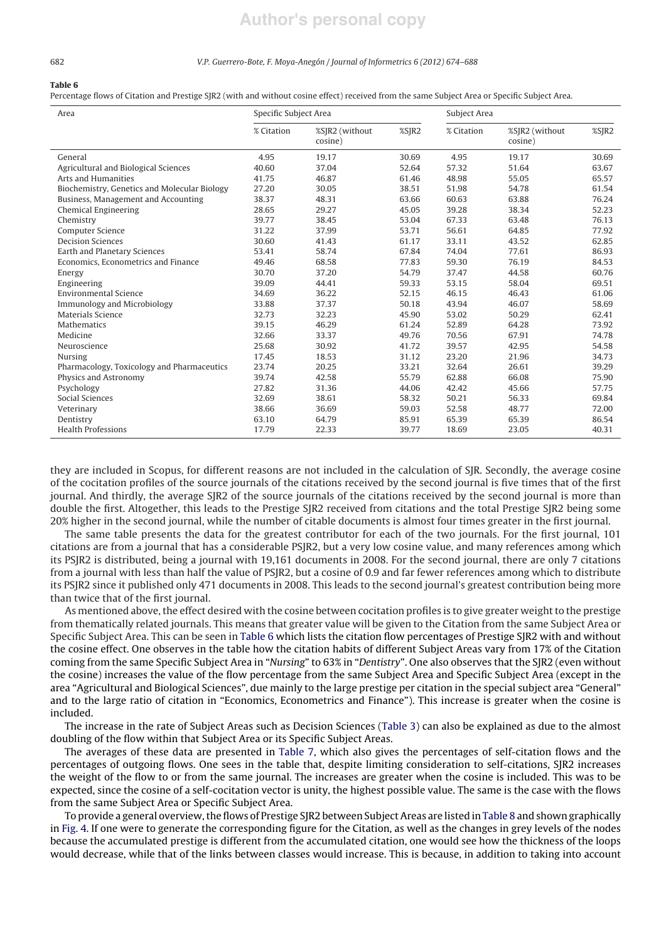### 682 V.P. Guerrero-Bote, F. Moya-Anegón / Journal of Informetrics *6 (2012) 674–688*

## Table 6

Percentage flows of Citation and Prestige SJR2 (with and without cosine effect) received from the same Subject Area or Specific Subject Area.

| Area                                         | Specific Subject Area |                           |                 | Subject Area |                           |                 |
|----------------------------------------------|-----------------------|---------------------------|-----------------|--------------|---------------------------|-----------------|
|                                              | % Citation            | %SJR2 (without<br>cosine) | $\frac{8}{182}$ | % Citation   | %SJR2 (without<br>cosine) | $\frac{8}{182}$ |
| General                                      | 4.95                  | 19.17                     | 30.69           | 4.95         | 19.17                     | 30.69           |
| Agricultural and Biological Sciences         | 40.60                 | 37.04                     | 52.64           | 57.32        | 51.64                     | 63.67           |
| <b>Arts and Humanities</b>                   | 41.75                 | 46.87                     | 61.46           | 48.98        | 55.05                     | 65.57           |
| Biochemistry, Genetics and Molecular Biology | 27.20                 | 30.05                     | 38.51           | 51.98        | 54.78                     | 61.54           |
| Business, Management and Accounting          | 38.37                 | 48.31                     | 63.66           | 60.63        | 63.88                     | 76.24           |
| <b>Chemical Engineering</b>                  | 28.65                 | 29.27                     | 45.05           | 39.28        | 38.34                     | 52.23           |
| Chemistry                                    | 39.77                 | 38.45                     | 53.04           | 67.33        | 63.48                     | 76.13           |
| Computer Science                             | 31.22                 | 37.99                     | 53.71           | 56.61        | 64.85                     | 77.92           |
| <b>Decision Sciences</b>                     | 30.60                 | 41.43                     | 61.17           | 33.11        | 43.52                     | 62.85           |
| Earth and Planetary Sciences                 | 53.41                 | 58.74                     | 67.84           | 74.04        | 77.61                     | 86.93           |
| Economics, Econometrics and Finance          | 49.46                 | 68.58                     | 77.83           | 59.30        | 76.19                     | 84.53           |
| Energy                                       | 30.70                 | 37.20                     | 54.79           | 37.47        | 44.58                     | 60.76           |
| Engineering                                  | 39.09                 | 44.41                     | 59.33           | 53.15        | 58.04                     | 69.51           |
| <b>Environmental Science</b>                 | 34.69                 | 36.22                     | 52.15           | 46.15        | 46.43                     | 61.06           |
| <b>Immunology and Microbiology</b>           | 33.88                 | 37.37                     | 50.18           | 43.94        | 46.07                     | 58.69           |
| Materials Science                            | 32.73                 | 32.23                     | 45.90           | 53.02        | 50.29                     | 62.41           |
| <b>Mathematics</b>                           | 39.15                 | 46.29                     | 61.24           | 52.89        | 64.28                     | 73.92           |
| Medicine                                     | 32.66                 | 33.37                     | 49.76           | 70.56        | 67.91                     | 74.78           |
| Neuroscience                                 | 25.68                 | 30.92                     | 41.72           | 39.57        | 42.95                     | 54.58           |
| Nursing                                      | 17.45                 | 18.53                     | 31.12           | 23.20        | 21.96                     | 34.73           |
| Pharmacology, Toxicology and Pharmaceutics   | 23.74                 | 20.25                     | 33.21           | 32.64        | 26.61                     | 39.29           |
| Physics and Astronomy                        | 39.74                 | 42.58                     | 55.79           | 62.88        | 66.08                     | 75.90           |
| Psychology                                   | 27.82                 | 31.36                     | 44.06           | 42.42        | 45.66                     | 57.75           |
| Social Sciences                              | 32.69                 | 38.61                     | 58.32           | 50.21        | 56.33                     | 69.84           |
| Veterinary                                   | 38.66                 | 36.69                     | 59.03           | 52.58        | 48.77                     | 72.00           |
| Dentistry                                    | 63.10                 | 64.79                     | 85.91           | 65.39        | 65.39                     | 86.54           |
| <b>Health Professions</b>                    | 17.79                 | 22.33                     | 39.77           | 18.69        | 23.05                     | 40.31           |

they are included in Scopus, for different reasons are not included in the calculation of SJR. Secondly, the average cosine of the cocitation profiles of the source journals of the citations received by the second journal is five times that of the first journal. And thirdly, the average SJR2 of the source journals of the citations received by the second journal is more than double the first. Altogether, this leads to the Prestige SJR2 received from citations and the total Prestige SJR2 being some 20% higher in the second journal, while the number of citable documents is almost four times greater in the first journal.

The same table presents the data for the greatest contributor for each of the two journals. For the first journal, 101 citations are from a journal that has a considerable PSJR2, but a very low cosine value, and many references among which its PSJR2 is distributed, being a journal with 19,161 documents in 2008. For the second journal, there are only 7 citations from a journal with less than half the value of PSJR2, but a cosine of 0.9 and far fewer references among which to distribute its PSJR2 since it published only 471 documents in 2008. This leads to the second journal's greatest contribution being more than twice that of the first journal.

As mentioned above, the effect desired with the cosine between cocitation profiles is to give greater weight to the prestige from thematically related journals. This means that greater value will be given to the Citation from the same Subject Area or Specific Subject Area. This can be seen in Table 6 which lists the citation flow percentages of Prestige SJR2 with and without the cosine effect. One observes in the table how the citation habits of different Subject Areas vary from 17% of the Citation coming from the same Specific Subject Area in "Nursing" to 63% in "Dentistry". One also observes that the SJR2 (even without the cosine) increases the value of the flow percentage from the same Subject Area and Specific Subject Area (except in the area "Agricultural and Biological Sciences", due mainly to the large prestige per citation in the special subject area "General" and to the large ratio of citation in "Economics, Econometrics and Finance"). This increase is greater when the cosine is included.

The increase in the rate of Subject Areas such as Decision Sciences (Table 3) can also be explained as due to the almost doubling of the flow within that Subject Area or its Specific Subject Areas.

The averages of these data are presented in Table 7, which also gives the percentages of self-citation flows and the percentages of outgoing flows. One sees in the table that, despite limiting consideration to self-citations, SJR2 increases the weight of the flow to or from the same journal. The increases are greater when the cosine is included. This was to be expected, since the cosine of a self-cocitation vector is unity, the highest possible value. The same is the case with the flows from the same Subject Area or Specific Subject Area.

To provide a general overview, the flows of Prestige SJR2 between Subject Areas are listed in Table 8 and shown graphically in Fig. 4. If one were to generate the corresponding figure for the Citation, as well as the changes in grey levels of the nodes because the accumulated prestige is different from the accumulated citation, one would see how the thickness of the loops would decrease, while that of the links between classes would increase. This is because, in addition to taking into account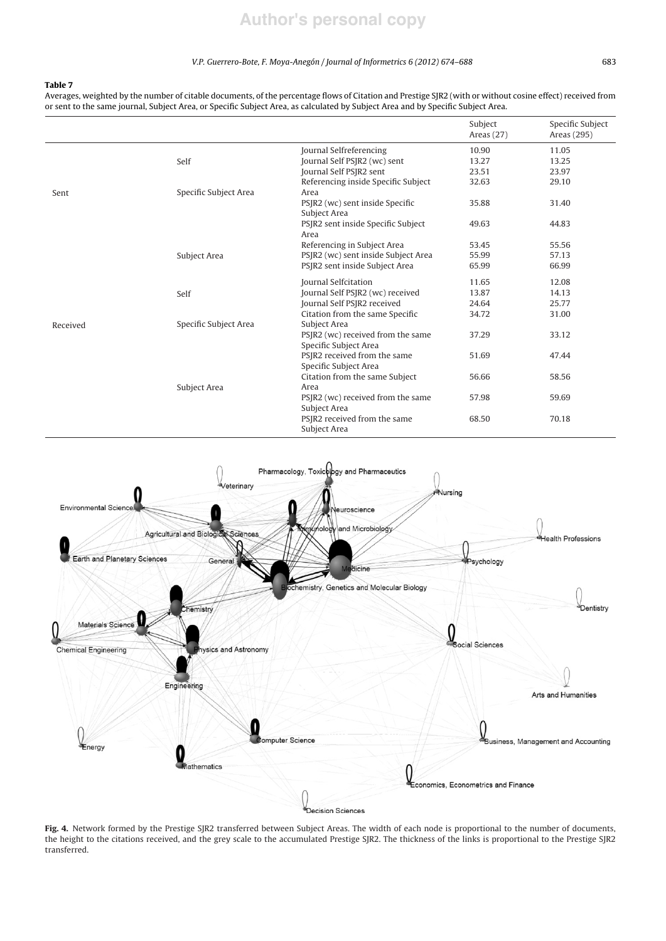## V.P. Guerrero-Bote, F. Moya-Anegón / Journal of Informetrics *6 (2012) 674–688* 683

# Table 7

Averages, weighted by the number of citable documents, of the percentage flows of Citation and Prestige SJR2 (with or without cosine effect) received from or sent to the same journal, Subject Area, or Specific Subject Area, as calculated by Subject Area and by Specific Subject Area.

|          |                       |                                                            | Subject<br>Areas $(27)$ | Specific Subject<br>Areas (295) |
|----------|-----------------------|------------------------------------------------------------|-------------------------|---------------------------------|
|          |                       | Journal Selfreferencing                                    | 10.90                   | 11.05                           |
|          | Self                  | Journal Self PSJR2 (wc) sent                               | 13.27                   | 13.25                           |
|          |                       | Journal Self PSJR2 sent                                    | 23.51                   | 23.97                           |
|          |                       | Referencing inside Specific Subject                        | 32.63                   | 29.10                           |
| Sent     | Specific Subject Area | Area                                                       |                         |                                 |
|          |                       | PSJR2 (wc) sent inside Specific<br>Subject Area            | 35.88                   | 31.40                           |
|          |                       | PSJR2 sent inside Specific Subject<br>Area                 | 49.63                   | 44.83                           |
|          |                       | Referencing in Subject Area                                | 53.45                   | 55.56                           |
|          | Subject Area          | PSJR2 (wc) sent inside Subject Area                        | 55.99                   | 57.13                           |
|          |                       | PSJR2 sent inside Subject Area                             | 65.99                   | 66.99                           |
|          |                       | Journal Selfcitation                                       | 11.65                   | 12.08                           |
|          | Self                  | Journal Self PSJR2 (wc) received                           | 13.87                   | 14.13                           |
|          |                       | Journal Self PSJR2 received                                | 24.64                   | 25.77                           |
|          |                       | Citation from the same Specific                            | 34.72                   | 31.00                           |
| Received | Specific Subject Area | Subject Area                                               |                         |                                 |
|          |                       | PSJR2 (wc) received from the same<br>Specific Subject Area | 37.29                   | 33.12                           |
|          |                       | PSJR2 received from the same                               | 51.69                   | 47.44                           |
|          |                       | Specific Subject Area                                      |                         |                                 |
|          |                       | Citation from the same Subject                             | 56.66                   | 58.56                           |
|          | Subject Area          | Area                                                       |                         |                                 |
|          |                       | PSJR2 (wc) received from the same<br>Subject Area          | 57.98                   | 59.69                           |
|          |                       | PSJR2 received from the same<br>Subject Area               | 68.50                   | 70.18                           |



Fig. 4. Network formed by the Prestige SJR2 transferred between Subject Areas. The width of each node is proportional to the number of documents, the height to the citations received, and the grey scale to the accumulated Prestige SJR2. The thickness of the links is proportional to the Prestige SJR2 transferred.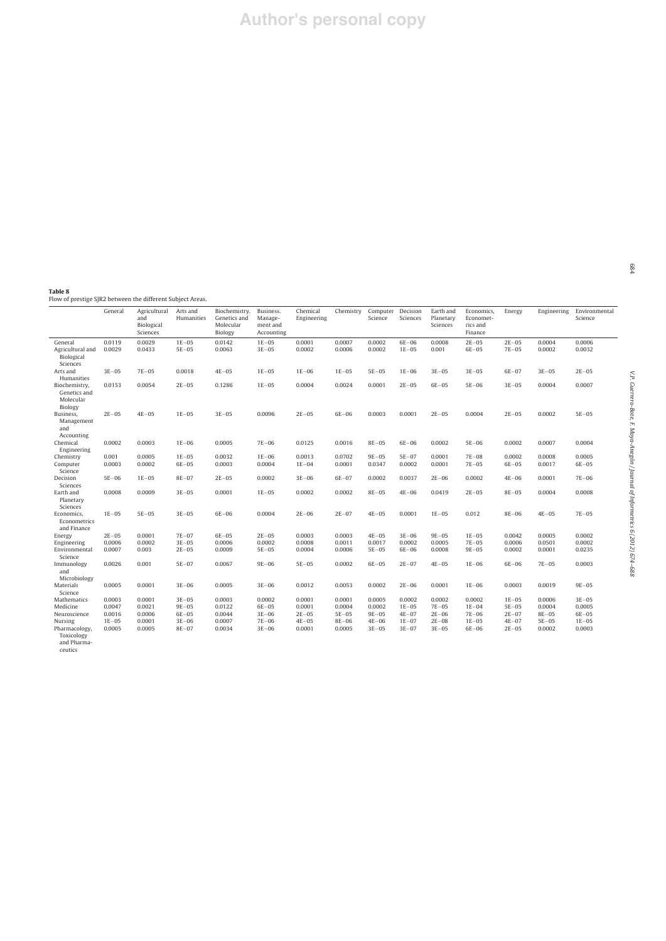**Table 8**<br>Flow of prestige SJR2 between the different Subject Areas.

| ັ                                                     |           |                                               |                        |                                                       |                                                |                         |           |                              |           |                                    |                                                |           |             |                          |
|-------------------------------------------------------|-----------|-----------------------------------------------|------------------------|-------------------------------------------------------|------------------------------------------------|-------------------------|-----------|------------------------------|-----------|------------------------------------|------------------------------------------------|-----------|-------------|--------------------------|
|                                                       | General   | Agricultural<br>and<br>Biological<br>Sciences | Arts and<br>Humanities | Biochemistry.<br>Genetics and<br>Molecular<br>Biology | Business.<br>Manage-<br>ment and<br>Accounting | Chemical<br>Engineering | Chemistry | Computer Decision<br>Science | Sciences  | Earth and<br>Planetary<br>Sciences | Economics,<br>Economet-<br>rics and<br>Finance | Energy    | Engineering | Environmental<br>Science |
| General                                               | 0.0119    | 0.0029                                        | $1E-05$                | 0.0142                                                | $1E-05$                                        | 0.0001                  | 0.0007    | 0.0002                       | $6E-06$   | 0.0008                             | $2E - 05$                                      | $2E-05$   | 0.0004      | 0.0006                   |
| Agricultural and<br>Biological<br>Sciences            | 0.0029    | 0.0433                                        | $5E-05$                | 0.0063                                                | $3E-05$                                        | 0.0002                  | 0.0006    | 0.0002                       | $1E-05$   | 0.001                              | $6E-05$                                        | $7E-05$   | 0.0002      | 0.0032                   |
| Arts and<br>Humanities                                | $3E-05$   | $7E-05$                                       | 0.0018                 | $4E-05$                                               | $1E-05$                                        | $1E-06$                 | $1E-05$   | $5E-05$                      | $1E-06$   | $3E-05$                            | $3E-05$                                        | $6E-07$   | $3E - 05$   | $2E-05$                  |
| Biochemistry,<br>Genetics and<br>Molecular<br>Biology | 0.0153    | 0.0054                                        | $2E-05$                | 0.1286                                                | $1E-05$                                        | 0.0004                  | 0.0024    | 0.0001                       | $2E-05$   | $6E-05$                            | $5E-06$                                        | $3E - 05$ | 0.0004      | 0.0007                   |
| Business,<br>Management<br>and<br>Accounting          | $2E - 05$ | $4E-05$                                       | $1E-05$                | $3E-05$                                               | 0.0096                                         | $2E-05$                 | $6E-06$   | 0.0003                       | 0.0001    | $2E-05$                            | 0.0004                                         | $2E-05$   | 0.0002      | $5E-05$                  |
| Chemical<br>Engineering                               | 0.0002    | 0.0003                                        | $1E-06$                | 0.0005                                                | $7E-06$                                        | 0.0125                  | 0.0016    | $8E-05$                      | $6E-06$   | 0.0002                             | $5E-06$                                        | 0.0002    | 0.0007      | 0.0004                   |
| Chemistry                                             | 0.001     | 0.0005                                        | $1E-05$                | 0.0032                                                | $1E-06$                                        | 0.0013                  | 0.0702    | $9E-05$                      | $5E-07$   | 0.0001                             | $7E-08$                                        | 0.0002    | 0.0008      | 0.0005                   |
| Computer<br>Science                                   | 0.0003    | 0.0002                                        | $6E-05$                | 0.0003                                                | 0.0004                                         | $1E-04$                 | 0.0001    | 0.0347                       | 0.0002    | 0.0001                             | $7E-05$                                        | $6E - 05$ | 0.0017      | $6E-05$                  |
| Decision<br>Sciences                                  | $5E-06$   | $1E-05$                                       | $8E - 07$              | $2E-05$                                               | 0.0002                                         | $3E-06$                 | $6E-07$   | 0.0002                       | 0.0037    | $2E-06$                            | 0.0002                                         | $4E-06$   | 0.0001      | $7E-06$                  |
| Earth and<br>Planetary<br>Sciences                    | 0.0008    | 0.0009                                        | $3E-05$                | 0.0001                                                | $1E-05$                                        | 0.0002                  | 0.0002    | $8E-05$                      | $4E-06$   | 0.0419                             | $2E-05$                                        | $8E - 05$ | 0.0004      | 0.0008                   |
| Economics.<br>Econometrics<br>and Finance             | $1E-05$   | $5E-05$                                       | $3E-05$                | $6E-06$                                               | 0.0004                                         | $2E-06$                 | $2E - 07$ | $4E-05$                      | 0.0001    | $1E-05$                            | 0.012                                          | $8E-06$   | $4E-05$     | $7E-05$                  |
| Energy                                                | $2E-05$   | 0.0001                                        | $7E-07$                | $6E-05$                                               | $2E - 05$                                      | 0.0003                  | 0.0003    | $4E-05$                      | $3E-06$   | $9E - 05$                          | $1E-05$                                        | 0.0042    | 0.0005      | 0.0002                   |
| Engineering                                           | 0.0006    | 0.0002                                        | $3E-05$                | 0.0006                                                | 0.0002                                         | 0.0008                  | 0.0011    | 0.0017                       | 0.0002    | 0.0005                             | $7E-05$                                        | 0.0006    | 0.0501      | 0.0002                   |
| Environmental<br>Science                              | 0.0007    | 0.003                                         | $2E-05$                | 0.0009                                                | $5E-05$                                        | 0.0004                  | 0.0006    | $5E-05$                      | $6E-06$   | 0.0008                             | $9E-05$                                        | 0.0002    | 0.0001      | 0.0235                   |
| Immunology<br>and<br>Microbiology                     | 0.0026    | 0.001                                         | $5E-07$                | 0.0067                                                | $9E-06$                                        | $5E-05$                 | 0.0002    | $6E-05$                      | $2E - 07$ | $4E-05$                            | $1E-06$                                        | $6E-06$   | $7E-05$     | 0.0003                   |
| Materials<br>Science                                  | 0.0005    | 0.0001                                        | $3E-06$                | 0.0005                                                | $3E-06$                                        | 0.0012                  | 0.0053    | 0.0002                       | $2E-06$   | 0.0001                             | $1E-06$                                        | 0.0003    | 0.0019      | $9E - 05$                |
| <b>Mathematics</b>                                    | 0.0003    | 0.0001                                        | $3E-05$                | 0.0003                                                | 0.0002                                         | 0.0001                  | 0.0001    | 0.0005                       | 0.0002    | 0.0002                             | 0.0002                                         | $1E-05$   | 0.0006      | $3E - 05$                |
| Medicine                                              | 0.0047    | 0.0021                                        | $9E-05$                | 0.0122                                                | $6E-05$                                        | 0.0001                  | 0.0004    | 0.0002                       | $1E-05$   | $7E-05$                            | $1E-04$                                        | $5E-05$   | 0.0004      | 0.0005                   |
| Neuroscience                                          | 0.0016    | 0.0006                                        | $6E-05$                | 0.0044                                                | $3E-06$                                        | $2E-05$                 | $5E-05$   | $9E-05$                      | $4E-07$   | $2E-06$                            | $7E-06$                                        | $2E - 07$ | $8E - 05$   | $6E-05$                  |
| Nursing                                               | $1E-05$   | 0.0001                                        | $3E-06$                | 0.0007                                                | $7E-06$                                        | $4E-05$                 | 8E-06     | $4E-06$                      | $1E-07$   | $2E-08$                            | $1E-05$                                        | $4E - 07$ | $5E-05$     | $1E-05$                  |
| Pharmacology,<br>Toxicology<br>and Pharma-            | 0.0005    | 0.0005                                        | $8E - 07$              | 0.0034                                                | $3E-06$                                        | 0.0001                  | 0.0005    | $3E-05$                      | $3E-07$   | $3E-05$                            | $6E-06$                                        | $2E-05$   | 0.0002      | 0.0003                   |

and Pharma-ceutics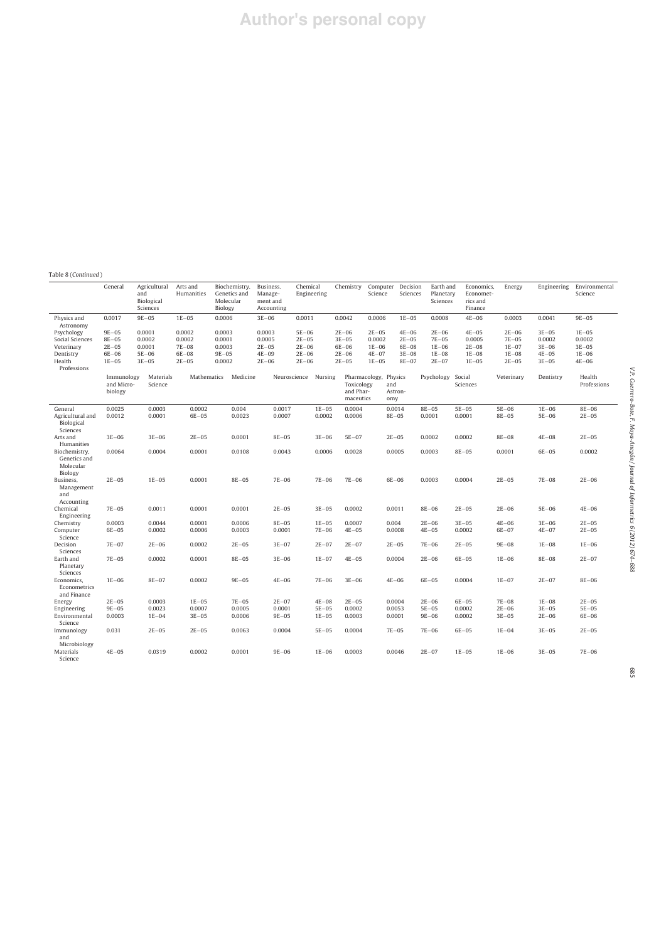Table 8 (Continued )

|                                                                                   | General                                                   | Agricultural<br>and<br>Biological<br>Sciences    | Arts and<br>Humanities                            | Biochemistry.<br>Genetics and<br>Molecular<br>Biology | Business.<br>Manage-<br>ment and<br>Accounting      | Chemical<br>Engineering                             | Chemistry                                           | Computer<br>Science                                | Decision<br><b>Sciences</b>                           | Earth and<br>Planetary<br>Sciences                  | Economics,<br>Economet-<br>rics and<br>Finance       | Energy                                                  | Engineering                                                | Environmental<br>Science                             |
|-----------------------------------------------------------------------------------|-----------------------------------------------------------|--------------------------------------------------|---------------------------------------------------|-------------------------------------------------------|-----------------------------------------------------|-----------------------------------------------------|-----------------------------------------------------|----------------------------------------------------|-------------------------------------------------------|-----------------------------------------------------|------------------------------------------------------|---------------------------------------------------------|------------------------------------------------------------|------------------------------------------------------|
| Physics and<br>Astronomy                                                          | 0.0017                                                    | $9E - 05$                                        | $1E-05$                                           | 0.0006                                                | $3E-06$                                             | 0.0011                                              | 0.0042                                              | 0.0006                                             | $1E-05$                                               | 0.0008                                              | $4E-06$                                              | 0.0003                                                  | 0.0041                                                     | $9E - 05$                                            |
| Psychology<br>Social Sciences<br>Veterinary<br>Dentistry<br>Health<br>Professions | $9E - 05$<br>$8E - 05$<br>$2E - 05$<br>6E-06<br>$1E - 05$ | 0.0001<br>0.0002<br>0.0001<br>$5E-06$<br>$3E-05$ | 0.0002<br>0.0002<br>$7E-08$<br>$6E-08$<br>$2E-05$ | 0.0003<br>0.0001<br>0.0003<br>$9E - 05$<br>0.0002     | 0.0003<br>0.0005<br>$2E - 05$<br>$4E-09$<br>$2E-06$ | $5E-06$<br>$2E-05$<br>$2E-06$<br>$2E-06$<br>$2E-06$ | $2E-06$<br>$3E-05$<br>6E-06<br>$2E - 06$<br>$2E-05$ | $2E-05$<br>0.0002<br>$1E-06$<br>$4E-07$<br>$1E-05$ | $4E-06$<br>$2E-05$<br>$6E-08$<br>$3E-08$<br>$8E - 07$ | $2E-06$<br>$7E-05$<br>$1E-06$<br>$1E-08$<br>$2E-07$ | $4E-05$<br>0.0005<br>$2E - 08$<br>$1E-08$<br>$1E-05$ | $2E-06$<br>$7E-05$<br>$1E - 07$<br>$1E-08$<br>$2E - 05$ | $3E - 05$<br>0.0002<br>$3E - 06$<br>$4E - 05$<br>$3E - 05$ | $1E-05$<br>0.0002<br>$3E - 05$<br>$1E-06$<br>$4E-06$ |
|                                                                                   | Immunology<br>and Micro-<br>biology                       | Materials<br>Science                             | Mathematics                                       | Medicine                                              | Neuroscience                                        | Nursing                                             | Toxicology<br>and Phar-<br>maceutics                | Pharmacology, Physics                              | and<br>Astron-<br>omy                                 | Psychology                                          | Social<br><b>Sciences</b>                            | Veterinary                                              | Dentistry                                                  | Health<br>Professions                                |
| General<br>Agricultural and<br>Biological<br>Sciences                             | 0.0025<br>0.0012                                          | 0.0003<br>0.0001                                 | 0.0002<br>$6E-05$                                 | 0.004<br>0.0023                                       | 0.0017<br>0.0007                                    | $1E-05$<br>0.0002                                   | 0.0004<br>0.0006                                    |                                                    | 0.0014<br>$8E - 05$                                   | $8E-05$<br>0.0001                                   | $5E-05$<br>0.0001                                    | $5E-06$<br>$8E - 05$                                    | $1E-06$<br>$5E-06$                                         | $8E-06$<br>$2E-05$                                   |
| Arts and<br>Humanities                                                            | $3E-06$                                                   | $3E-06$                                          | $2E-05$                                           | 0.0001                                                | $8E - 05$                                           | $3E-06$                                             | $5E - 07$                                           |                                                    | $2E - 05$                                             | 0.0002                                              | 0.0002                                               | $8E - 08$                                               | $4E-08$                                                    | $2E - 05$                                            |
| Biochemistry,<br>Genetics and<br>Molecular<br>Biology                             | 0.0064                                                    | 0.0004                                           | 0.0001                                            | 0.0108                                                | 0.0043                                              | 0.0006                                              | 0.0028                                              |                                                    | 0.0005                                                | 0.0003                                              | $8E-05$                                              | 0.0001                                                  | $6E-05$                                                    | 0.0002                                               |
| Business,<br>Management<br>and<br>Accounting                                      | $2E-05$                                                   | $1E-05$                                          | 0.0001                                            | $8E-05$                                               | $7E-06$                                             | $7E-06$                                             | $7E-06$                                             |                                                    | $6E-06$                                               | 0.0003                                              | 0.0004                                               | $2E - 05$                                               | $7E-08$                                                    | $2E-06$                                              |
| Chemical<br>Engineering                                                           | $7E-05$                                                   | 0.0011                                           | 0.0001                                            | 0.0001                                                | $2E-05$                                             | $3E-05$                                             | 0.0002                                              |                                                    | 0.0011                                                | $8E-06$                                             | $2E-05$                                              | $2E-06$                                                 | $5E-06$                                                    | $4E-06$                                              |
| Chemistry<br>Computer<br>Science                                                  | 0.0003<br>$6E-05$                                         | 0.0044<br>0.0002                                 | 0.0001<br>0.0006                                  | 0.0006<br>0.0003                                      | $8E - 05$<br>0.0001                                 | $1E-05$<br>$7E-06$                                  | 0.0007<br>$4E-05$                                   |                                                    | 0.004<br>0.0008                                       | $2E-06$<br>$4E - 05$                                | $3E-05$<br>0.0002                                    | $4E-06$<br>$6E-07$                                      | $3E-06$<br>$4E-07$                                         | $2E-05$<br>$2E-05$                                   |
| Decision<br>Sciences                                                              | $7E - 07$                                                 | $2E-06$                                          | 0.0002                                            | $2E-05$                                               | $3E-07$                                             | $2E-07$                                             | $2E-07$                                             |                                                    | $2E-05$                                               | $7E-06$                                             | $2E-05$                                              | $9E-08$                                                 | $1E-08$                                                    | $1E-06$                                              |
| Earth and<br>Planetary<br>Sciences                                                | $7E-05$                                                   | 0.0002                                           | 0.0001                                            | $8E-05$                                               | $3E-06$                                             | $1E-07$                                             | $4E-05$                                             |                                                    | 0.0004                                                | $2E-06$                                             | $6E-05$                                              | $1E-06$                                                 | $8E-08$                                                    | $2E - 07$                                            |
| Economics.<br>Econometrics<br>and Finance                                         | $1E-06$                                                   | $8E - 07$                                        | 0.0002                                            | $9E - 05$                                             | $4E-06$                                             | $7E-06$                                             | $3E-06$                                             |                                                    | $4E-06$                                               | $6E-05$                                             | 0.0004                                               | $1E-07$                                                 | $2E - 07$                                                  | 8E-06                                                |
| Energy                                                                            | $2E-05$                                                   | 0.0003                                           | $1E-05$                                           | $7E-05$                                               | $2E - 07$                                           | $4E-08$                                             | $2E-05$                                             |                                                    | 0.0004                                                | $2E-06$                                             | $6E-05$                                              | $7E-08$                                                 | $1E-08$                                                    | $2E-05$                                              |
| Engineering                                                                       | $9E-05$                                                   | 0.0023                                           | 0.0007                                            | 0.0005                                                | 0.0001                                              | $5E-05$                                             | 0.0002                                              |                                                    | 0.0053                                                | $5E-05$                                             | 0.0002                                               | $2E-06$                                                 | $3E-05$                                                    | $5E-05$                                              |
| Environmental<br>Science                                                          | 0.0003                                                    | $1E-04$                                          | $3E-05$                                           | 0.0006                                                | $9E - 05$                                           | $1E-05$                                             | 0.0003                                              |                                                    | 0.0001                                                | $9E-06$                                             | 0.0002                                               | $3E - 05$                                               | $2E-06$                                                    | $6E-06$                                              |
| Immunology<br>and<br>Microbiology                                                 | 0.031                                                     | $2E-05$                                          | $2E-05$                                           | 0.0063                                                | 0.0004                                              | $5E-05$                                             | 0.0004                                              |                                                    | $7E-05$                                               | $7E-06$                                             | $6E-05$                                              | $1E-04$                                                 | $3E - 05$                                                  | $2E-05$                                              |
| Materials<br>Science                                                              | $4E-05$                                                   | 0.0319                                           | 0.0002                                            | 0.0001                                                | $9E-06$                                             | $1E-06$                                             | 0.0003                                              |                                                    | 0.0046                                                | $2E - 07$                                           | $1E-05$                                              | $1E-06$                                                 | $3E-05$                                                    | 7E-06                                                |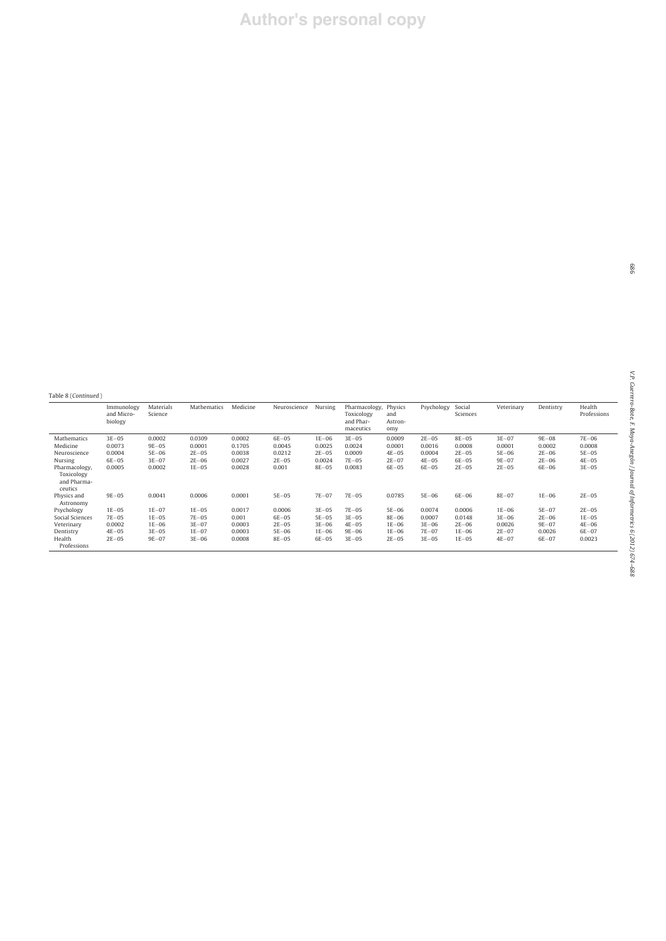| ٠ |   |
|---|---|
| ٦ | I |

| Table 8 (Continued)                                   |                                     |                      |             |          |              |           |                                                       |                                  |            |                    |            |           |                       |
|-------------------------------------------------------|-------------------------------------|----------------------|-------------|----------|--------------|-----------|-------------------------------------------------------|----------------------------------|------------|--------------------|------------|-----------|-----------------------|
|                                                       | Immunology<br>and Micro-<br>biology | Materials<br>Science | Mathematics | Medicine | Neuroscience | Nursing   | Pharmacology,<br>Toxicology<br>and Phar-<br>maceutics | Physics<br>and<br>Astron-<br>omy | Psychology | Social<br>Sciences | Veterinary | Dentistry | Health<br>Professions |
| Mathematics                                           | $3E - 05$                           | 0.0002               | 0.0309      | 0.0002   | $6E-05$      | $1E-06$   | $3E-05$                                               | 0.0009                           | $2E-05$    | $8E - 05$          | $3E - 07$  | $9E-08$   | $7E-06$               |
| Medicine                                              | 0.0073                              | $9E - 05$            | 0.0001      | 0.1705   | 0.0045       | 0.0025    | 0.0024                                                | 0.0001                           | 0.0016     | 0.0008             | 0.0001     | 0.0002    | 0.0008                |
| Neuroscience                                          | 0.0004                              | $5E-06$              | $2E-05$     | 0.0038   | 0.0212       | $2E-05$   | 0.0009                                                | $4E-05$                          | 0.0004     | $2E-05$            | $5E-06$    | $2E-06$   | $5E-05$               |
| Nursing                                               | $6E-05$                             | $3E - 07$            | $2E-06$     | 0.0027   | $2E-05$      | 0.0024    | $7E-05$                                               | $2E - 07$                        | $4E-05$    | $6E-05$            | $9E - 07$  | $2E-06$   | $4E-05$               |
| Pharmacology,<br>Toxicology<br>and Pharma-<br>ceutics | 0.0005                              | 0.0002               | $1E-05$     | 0.0028   | 0.001        | $8E - 05$ | 0.0083                                                | $6E-05$                          | $6E-05$    | $2E-05$            | $2E - 05$  | $6E-06$   | $3E - 05$             |
| Physics and<br>Astronomy                              | $9E - 05$                           | 0.0041               | 0.0006      | 0.0001   | $5E-05$      | $7E-07$   | $7E-05$                                               | 0.0785                           | $5E-06$    | $6E-06$            | $8E - 07$  | $1E-06$   | $2E - 05$             |
| Psychology                                            | $1E-05$                             | $1E - 07$            | $1E-05$     | 0.0017   | 0.0006       | $3E-05$   | $7E-05$                                               | $5E-06$                          | 0.0074     | 0.0006             | $1E-06$    | $5E-07$   | $2E - 05$             |
| Social Sciences                                       | $7E-05$                             | $1E-05$              | $7E-05$     | 0.001    | $6E-05$      | $5E-05$   | $3E-05$                                               | $8E-06$                          | 0.0007     | 0.0148             | $3E-06$    | $2E-06$   | $1E-05$               |
| Veterinary                                            | 0.0002                              | $1E-06$              | $3E-07$     | 0.0003   | $2E-05$      | $3E-06$   | $4E - 05$                                             | $1E-06$                          | $3E-06$    | $2E-06$            | 0.0026     | $9E - 07$ | $4E-06$               |
| Dentistry                                             | $4E-05$                             | $3E-05$              | $1E-07$     | 0.0003   | $5E-06$      | $1E-06$   | $9E-06$                                               | $1E-06$                          | $7E-07$    | $1E-06$            | $2E - 07$  | 0.0026    | $6E-07$               |
| Health<br>Professions                                 | $2E-05$                             | $9E - 07$            | $3E-06$     | 0.0008   | $8E-05$      | $6E-05$   | $3E-05$                                               | $2E-05$                          | $3E - 05$  | $1E-05$            | $4E - 07$  | $6E-07$   | 0.0023                |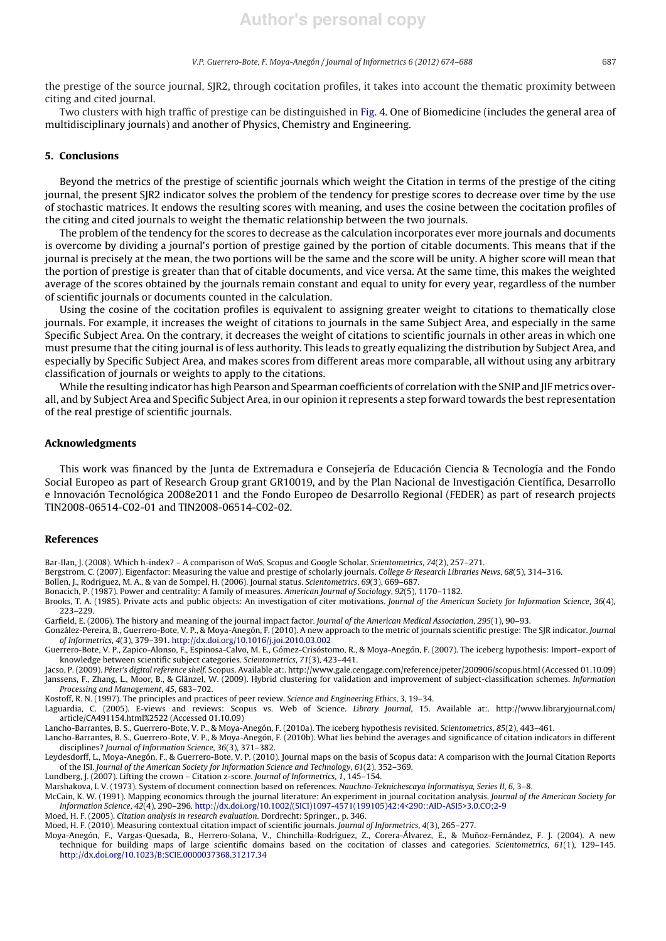the prestige of the source journal, SJR2, through cocitation profiles, it takes into account the thematic proximity between citing and cited journal.

Two clusters with high traffic of prestige can be distinguished in Fig. 4. One of Biomedicine (includes the general area of multidisciplinary journals) and another of Physics, Chemistry and Engineering.

# 5. Conclusions

Beyond the metrics of the prestige of scientific journals which weight the Citation in terms of the prestige of the citing journal, the present SJR2 indicator solves the problem of the tendency for prestige scores to decrease over time by the use of stochastic matrices. It endows the resulting scores with meaning, and uses the cosine between the cocitation profiles of the citing and cited journals to weight the thematic relationship between the two journals.

The problem of the tendency for the scores to decrease as the calculation incorporates ever more journals and documents is overcome by dividing a journal's portion of prestige gained by the portion of citable documents. This means that if the journal is precisely at the mean, the two portions will be the same and the score will be unity. A higher score will mean that the portion of prestige is greater than that of citable documents, and vice versa. At the same time, this makes the weighted average of the scores obtained by the journals remain constant and equal to unity for every year, regardless of the number of scientific journals or documents counted in the calculation.

Using the cosine of the cocitation profiles is equivalent to assigning greater weight to citations to thematically close journals. For example, it increases the weight of citations to journals in the same Subject Area, and especially in the same Specific Subject Area. On the contrary, it decreases the weight of citations to scientific journals in other areas in which one must presume that the citing journal is of less authority. This leads to greatly equalizing the distribution by Subject Area, and especially by Specific Subject Area, and makes scores from different areas more comparable, all without using any arbitrary classification of journals or weights to apply to the citations.

While the resulting indicator has high Pearson and Spearman coefficients of correlation with the SNIP and JIF metrics overall, and by Subject Area and Specific Subject Area, in our opinion it represents a step forward towards the best representation of the real prestige of scientific journals.

### Acknowledgments

This work was financed by the Junta de Extremadura e Consejería de Educación Ciencia & Tecnología and the Fondo Social Europeo as part of Research Group grant GR10019, and by the Plan Nacional de Investigación Científica, Desarrollo e Innovación Tecnológica 2008e2011 and the Fondo Europeo de Desarrollo Regional (FEDER) as part of research projects TIN2008-06514-C02-01 and TIN2008-06514-C02-02.

# References

Bar-Ilan, J. (2008). Which h-index? – A comparison of WoS, Scopus and Google Scholar. Scientometrics, 74(2), 257–271.

- Bergstrom, C. (2007). Eigenfactor: Measuring the value and prestige of scholarly journals. College & Research Libraries News, 68(5), 314-316.
- Bollen, J., Rodriguez, M. A., & van de Sompel, H. (2006). Journal status. Scientometrics, 69(3), 669–687.
- Bonacich, P. (1987). Power and centrality: A family of measures. American Journal of Sociology, 92(5), 1170–1182.

Brooks, T. A. (1985). Private acts and public objects: An investigation of citer motivations. Journal of the American Society for Information Science, 36(4), 223–229.

Garfield, E. (2006). The history and meaning of the journal impact factor. Journal of the American Medical Association, 295(1), 90–93.

- González-Pereira, B., Guerrero-Bote, V. P., & Moya-Anegón, F. (2010). A new approach to the metric of journals scientific prestige: The SJR indicator. Journal of Informetrics, 4(3), 379–391. http://dx.doi.org/10.1016/j.joi.2010.03.002
- Guerrero-Bote, V. P., Zapico-Alonso, F., Espinosa-Calvo, M. E., Gómez-Crisóstomo, R., & Moya-Anegón, F. (2007). The iceberg hypothesis: Import–export of knowledge between scientific subject categories. Scientometrics, 71(3), 423–441.
- Jacso, P. (2009). Péter's digital reference shelf. Scopus. Available at:. http://www.gale.cengage.com/reference/peter/200906/scopus.html (Accessed 01.10.09) Janssens, F., Zhang, L., Moor, B., & Glänzel, W. (2009). Hybrid clustering for validation and improvement of subject-classification schemes. Information Processing and Management, 45, 683–702.
- Kostoff, R. N. (1997). The principles and practices of peer review. Science and Engineering Ethics, 3, 19–34.
- Laguardia, C. (2005). E-views and reviews: Scopus vs. Web of Science. Library Journal, 15. Available at:. http://www.libraryjournal.com/ article/CA491154.html%2522 (Accessed 01.10.09)

Lancho-Barrantes, B. S., Guerrero-Bote, V. P., & Moya-Anegón, F. (2010a). The iceberg hypothesis revisited. Scientometrics, 85(2), 443–461.

- Lancho-Barrantes, B. S., Guerrero-Bote, V. P., & Moya-Anegón, F. (2010b). What lies behind the averages and significance of citation indicators in different disciplines? Journal of Information Science, 36(3), 371–382.
- Leydesdorff, L., Moya-Anegón, F., & Guerrero-Bote, V. P. (2010). Journal maps on the basis of Scopus data: A comparison with the Journal Citation Reports of the ISI. Journal of the American Society for Information Science and Technology, 61(2), 352–369.

Lundberg, J. (2007). Lifting the crown – Citation z-score. Journal of Informetrics, 1, 145–154.

Marshakova, I. V. (1973). System of document connection based on references. Nauchno-Teknichescaya Informatisya, Series II, 6, 3–8.

McCain, K. W. (1991). Mapping economics through the journal literature: An experiment in journal cocitation analysis. Journal of the American Society for Information Science, 42(4), 290–296. http://dx.doi.org/10.1002/(SICI)1097-4571(199105)42:4<290::AID-ASI5>3.0.CO;2-9

Moed, H. F. (2005). Citation analysis in research evaluation. Dordrecht: Springer., p. 346.

Moed, H. F. (2010). Measuring contextual citation impact of scientific journals. Journal of Informetrics, 4(3), 265–277.

Moya-Anegón, F., Vargas-Quesada, B., Herrero-Solana, V., Chinchilla-Rodríguez, Z., Corera-Álvarez, E., & Munoz-Fernández, ˜ F. J. (2004). A new technique for building maps of large scientific domains based on the cocitation of classes and categories. Scientometrics, 61(1), 129–145. http://dx.doi.org/10.1023/B:SCIE.0000037368.31217.34